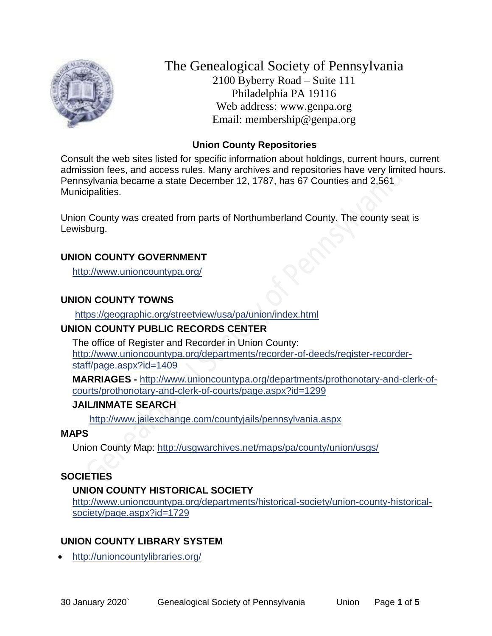

The Genealogical Society of Pennsylvania 2100 Byberry Road – Suite 111 Philadelphia PA 19116 Web address: www.genpa.org Email: membership@genpa.org

#### **Union County Repositories**

Consult the web sites listed for specific information about holdings, current hours, current admission fees, and access rules. Many archives and repositories have very limited hours. Pennsylvania became a state December 12, 1787, has 67 Counties and 2,561 Municipalities.

Union County was created from parts of Northumberland County. The county seat is Lewisburg.

#### **UNION COUNTY GOVERNMENT**

<http://www.unioncountypa.org/>

#### **UNION COUNTY TOWNS**

<https://geographic.org/streetview/usa/pa/union/index.html>

#### **UNION COUNTY PUBLIC RECORDS CENTER**

The office of Register and Recorder in Union County: [http://www.unioncountypa.org/departments/recorder-of-deeds/register-recorder](http://www.unioncountypa.org/departments/recorder-of-deeds/register-recorder-staff/page.aspx?id=1409)[staff/page.aspx?id=1409](http://www.unioncountypa.org/departments/recorder-of-deeds/register-recorder-staff/page.aspx?id=1409)

**MARRIAGES -** [http://www.unioncountypa.org/departments/prothonotary-and-clerk-of](http://www.unioncountypa.org/departments/prothonotary-and-clerk-of-courts/prothonotary-and-clerk-of-courts/page.aspx?id=1299)[courts/prothonotary-and-clerk-of-courts/page.aspx?id=1299](http://www.unioncountypa.org/departments/prothonotary-and-clerk-of-courts/prothonotary-and-clerk-of-courts/page.aspx?id=1299)

#### **JAIL/INMATE SEARCH**

<http://www.jailexchange.com/countyjails/pennsylvania.aspx>

#### **MAPS**

Union County Map:<http://usgwarchives.net/maps/pa/county/union/usgs/>

### **SOCIETIES**

#### **UNION COUNTY HISTORICAL SOCIETY**

[http://www.unioncountypa.org/departments/historical-society/union-county-historical](http://www.unioncountypa.org/departments/historical-society/union-county-historical-society/page.aspx?id=1729)[society/page.aspx?id=1729](http://www.unioncountypa.org/departments/historical-society/union-county-historical-society/page.aspx?id=1729)

### **UNION COUNTY LIBRARY SYSTEM**

<http://unioncountylibraries.org/>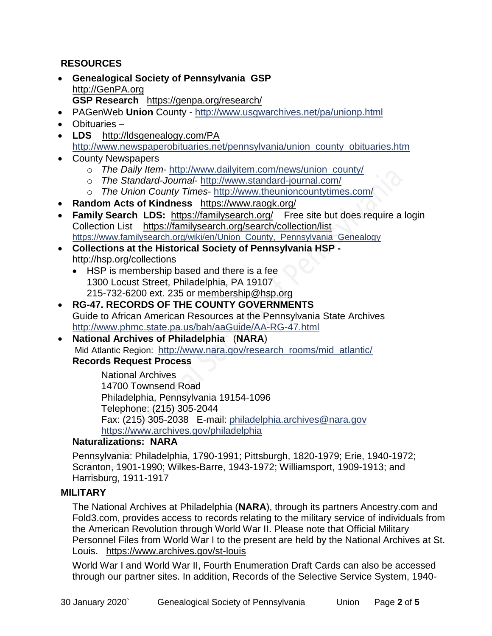### **RESOURCES**

- **Genealogical Society of Pennsylvania GSP** [http://GenPA.org](http://genpa.org/) **GSP Research** <https://genpa.org/research/>
- PAGenWeb **Union** County <http://www.usgwarchives.net/pa/unionp.html>
- Obituaries –
- LDS <http://ldsgenealogy.com/PA> [http://www.newspaperobituaries.net/pennsylvania/union\\_county\\_obituaries.htm](http://www.newspaperobituaries.net/pennsylvania/union_county_obituaries.htm)
- County Newspapers
	- o *The Daily Item* [http://www.dailyitem.com/news/union\\_county/](http://www.dailyitem.com/news/union_county/)
	- o *The Standard-Journal* <http://www.standard-journal.com/>
	- o *The Union County Times* <http://www.theunioncountytimes.com/>
- **Random Acts of Kindness** <https://www.raogk.org/>
- **Family Search LDS:** <https://familysearch.org/>Free site but does require a login Collection List <https://familysearch.org/search/collection/list> [https://www.familysearch.org/wiki/en/Union\\_County,\\_Pennsylvania\\_Genealogy](https://www.familysearch.org/wiki/en/Union_County,_Pennsylvania_Genealogy)
- **Collections at the Historical Society of Pennsylvania HSP**  <http://hsp.org/collections>
	- HSP is membership based and there is a fee 1300 Locust Street, Philadelphia, PA 19107 215-732-6200 ext. 235 or [membership@hsp.org](mailto:membership@hsp.org)
- **RG-47. RECORDS OF THE COUNTY GOVERNMENTS** Guide to African American Resources at the Pennsylvania State Archives <http://www.phmc.state.pa.us/bah/aaGuide/AA-RG-47.html>
- **National Archives of Philadelphia** (**NARA**) Mid Atlantic Region: [http://www.nara.gov/research\\_rooms/mid\\_atlantic/](http://www.nara.gov/research_rooms/mid_atlantic/) **Records Request Process**

National Archives 14700 Townsend Road Philadelphia, Pennsylvania 19154-1096 Telephone: (215) 305-2044 Fax: (215) 305-2038 E-mail: [philadelphia.archives@nara.gov](mailto:philadelphia.archives@nara.gov) <https://www.archives.gov/philadelphia>

## **Naturalizations: NARA**

Pennsylvania: Philadelphia, 1790-1991; Pittsburgh, 1820-1979; Erie, 1940-1972; Scranton, 1901-1990; Wilkes-Barre, 1943-1972; Williamsport, 1909-1913; and Harrisburg, 1911-1917

### **MILITARY**

The National Archives at Philadelphia (**NARA**), through its partners Ancestry.com and Fold3.com, provides access to records relating to the military service of individuals from the American Revolution through World War II. Please note that Official Military Personnel Files from World War I to the present are held by the National Archives at St. Louis. <https://www.archives.gov/st-louis>

World War I and World War II, Fourth Enumeration Draft Cards can also be accessed through our partner sites. In addition, Records of the Selective Service System, 1940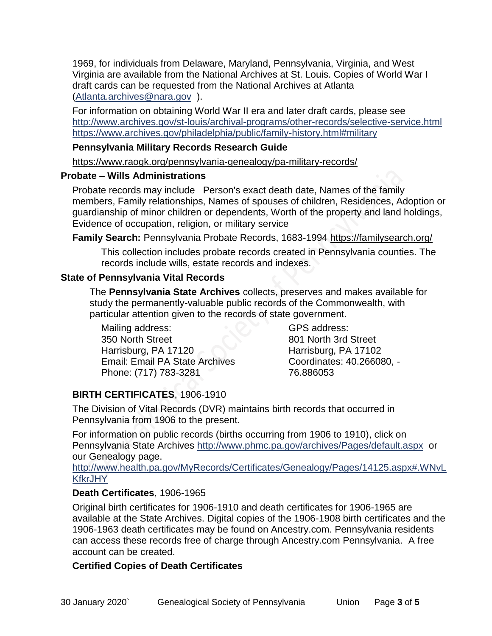1969, for individuals from Delaware, Maryland, Pennsylvania, Virginia, and West Virginia are available from the National Archives at St. Louis. Copies of World War I draft cards can be requested from the National Archives at Atlanta [\(Atlanta.archives@nara.gov](mailto:Atlanta.archives@nara.gov) ).

For information on obtaining World War II era and later draft cards, please see <http://www.archives.gov/st-louis/archival-programs/other-records/selective-service.html> <https://www.archives.gov/philadelphia/public/family-history.html#military>

#### **Pennsylvania Military Records Research Guide**

<https://www.raogk.org/pennsylvania-genealogy/pa-military-records/>

#### **Probate – Wills Administrations**

Probate records may include Person's exact death date, Names of the family members, Family relationships, Names of spouses of children, Residences, Adoption or guardianship of minor children or dependents, Worth of the property and land holdings, Evidence of occupation, religion, or military service

**Family Search:** Pennsylvania Probate Records, 1683-1994 <https://familysearch.org/>

This collection includes probate records created in Pennsylvania counties. The records include wills, estate records and indexes.

### **State of Pennsylvania Vital Records**

The **Pennsylvania State Archives** collects, preserves and makes available for study the permanently-valuable public records of the Commonwealth, with particular attention given to the records of state government.

Mailing address: 350 North Street Harrisburg, PA 17120 Email: Email PA State Archives Phone: (717) 783-3281

GPS address: 801 North 3rd Street Harrisburg, PA 17102 Coordinates: 40.266080, - 76.886053

# **BIRTH CERTIFICATES**, 1906-1910

The Division of Vital Records (DVR) maintains birth records that occurred in Pennsylvania from 1906 to the present.

For information on public records (births occurring from 1906 to 1910), click on Pennsylvania State Archives <http://www.phmc.pa.gov/archives/Pages/default.aspx>or our Genealogy page.

[http://www.health.pa.gov/MyRecords/Certificates/Genealogy/Pages/14125.aspx#.WNvL](http://www.health.pa.gov/MyRecords/Certificates/Genealogy/Pages/14125.aspx#.WNvLKfkrJHY) **[KfkrJHY](http://www.health.pa.gov/MyRecords/Certificates/Genealogy/Pages/14125.aspx#.WNvLKfkrJHY)** 

### **Death Certificates**, 1906-1965

Original birth certificates for 1906-1910 and death certificates for 1906-1965 are available at the State Archives. Digital copies of the 1906-1908 birth certificates and the 1906-1963 death certificates may be found on Ancestry.com. Pennsylvania residents can access these records free of charge through Ancestry.com Pennsylvania. A free account can be created.

## **Certified Copies of Death Certificates**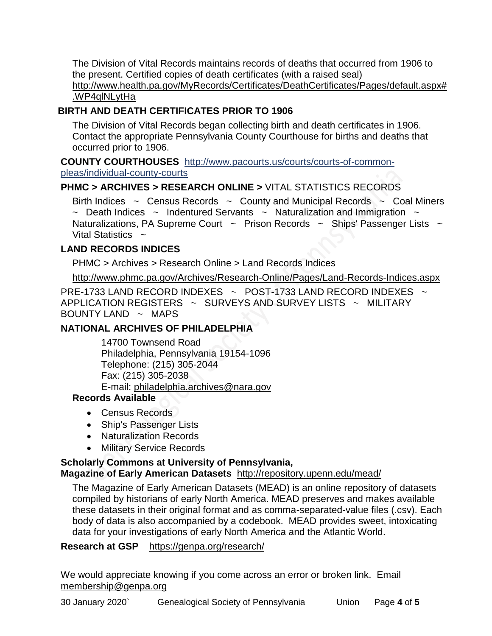The Division of Vital Records maintains records of deaths that occurred from 1906 to the present. Certified copies of death certificates (with a raised seal) http://www.health.pa.gov/MyRecords/Certificates/DeathCertificates/Pages/default.aspx# .WP4qlNLytHa

## **BIRTH AND DEATH CERTIFICATES PRIOR TO 1906**

The Division of Vital Records began collecting birth and death certificates in 1906. Contact the appropriate Pennsylvania County Courthouse for births and deaths that occurred prior to 1906.

**COUNTY COURTHOUSES** [http://www.pacourts.us/courts/courts-of-common](http://www.pacourts.us/courts/courts-of-common-pleas/individual-county-courts)[pleas/individual-county-courts](http://www.pacourts.us/courts/courts-of-common-pleas/individual-county-courts)

## **PHMC > ARCHIVES > RESEARCH ONLINE >** [VITAL STATISTICS RECORDS](http://www.phmc.pa.gov/Archives/Research-Online/Pages/Vital-Statistics.aspx)

Birth Indices  $\sim$  Census Records  $\sim$  County and Municipal Records  $\sim$  Coal Miners  $\sim$  Death Indices  $\sim$  Indentured Servants  $\sim$  Naturalization and Immigration  $\sim$ Naturalizations, PA Supreme Court  $\sim$  Prison Records  $\sim$  Ships' Passenger Lists  $\sim$ Vital Statistics  $\sim$ 

### **LAND RECORDS INDICES**

PHMC > Archives > Research Online > Land Records Indices

<http://www.phmc.pa.gov/Archives/Research-Online/Pages/Land-Records-Indices.aspx>

PRE-1733 LAND RECORD INDEXES ~ POST-1733 LAND RECORD INDEXES ~ APPLICATION REGISTERS  $\sim$  SURVEYS AND SURVEY LISTS  $\sim$  MILITARY BOUNTY LAND  $\sim$  MAPS

## **NATIONAL ARCHIVES OF PHILADELPHIA**

14700 Townsend Road Philadelphia, Pennsylvania 19154-1096 Telephone: (215) 305-2044 Fax: (215) 305-2038 E-mail: [philadelphia.archives@nara.gov](mailto:philadelphia.archives@nara.gov)

## **Records Available**

- Census Records
- Ship's Passenger Lists
- Naturalization Records
- Military Service Records

# **Scholarly Commons at University of Pennsylvania,**

## **Magazine of Early American Datasets** <http://repository.upenn.edu/mead/>

The Magazine of Early American Datasets (MEAD) is an online repository of datasets compiled by historians of early North America. MEAD preserves and makes available these datasets in their original format and as comma-separated-value files (.csv). Each body of data is also accompanied by a codebook. MEAD provides sweet, intoxicating data for your investigations of early North America and the Atlantic World.

### **Research at GSP** <https://genpa.org/research/>

We would appreciate knowing if you come across an error or broken link. Email [membership@genpa.org](mailto:membership@genpa.org)